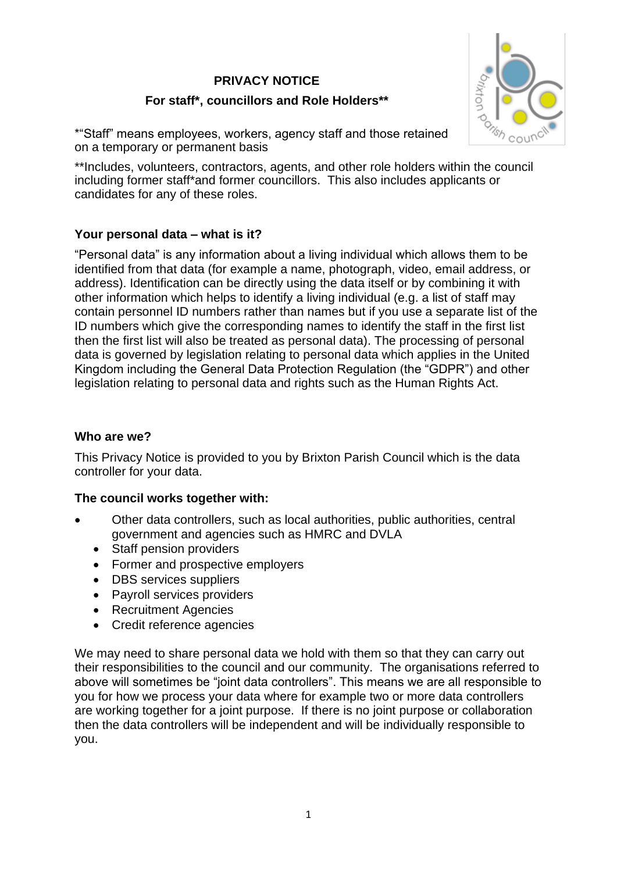### **PRIVACY NOTICE**

# **For staff\*, councillors and Role Holders\*\***



\*"Staff" means employees, workers, agency staff and those retained on a temporary or permanent basis

\*\*Includes, volunteers, contractors, agents, and other role holders within the council including former staff\*and former councillors. This also includes applicants or candidates for any of these roles.

## **Your personal data – what is it?**

"Personal data" is any information about a living individual which allows them to be identified from that data (for example a name, photograph, video, email address, or address). Identification can be directly using the data itself or by combining it with other information which helps to identify a living individual (e.g. a list of staff may contain personnel ID numbers rather than names but if you use a separate list of the ID numbers which give the corresponding names to identify the staff in the first list then the first list will also be treated as personal data). The processing of personal data is governed by legislation relating to personal data which applies in the United Kingdom including the General Data Protection Regulation (the "GDPR") and other legislation relating to personal data and rights such as the Human Rights Act.

## **Who are we?**

This Privacy Notice is provided to you by Brixton Parish Council which is the data controller for your data.

# **The council works together with:**

- Other data controllers, such as local authorities, public authorities, central government and agencies such as HMRC and DVLA
	- Staff pension providers
	- Former and prospective employers
	- DBS services suppliers
	- Payroll services providers
	- Recruitment Agencies
	- Credit reference agencies

We may need to share personal data we hold with them so that they can carry out their responsibilities to the council and our community. The organisations referred to above will sometimes be "joint data controllers". This means we are all responsible to you for how we process your data where for example two or more data controllers are working together for a joint purpose. If there is no joint purpose or collaboration then the data controllers will be independent and will be individually responsible to you.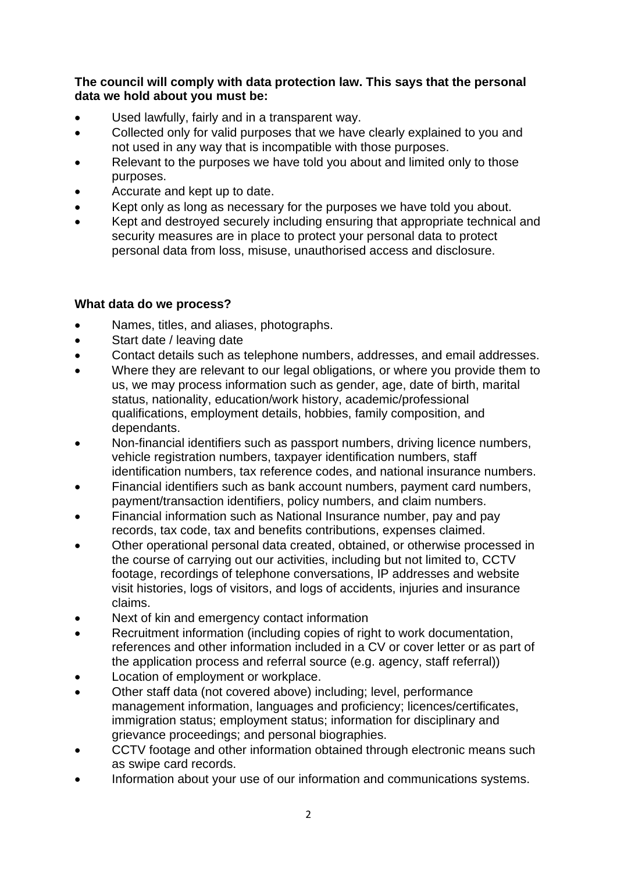**The council will comply with data protection law. This says that the personal data we hold about you must be:**

- Used lawfully, fairly and in a transparent way.
- Collected only for valid purposes that we have clearly explained to you and not used in any way that is incompatible with those purposes.
- Relevant to the purposes we have told you about and limited only to those purposes.
- Accurate and kept up to date.
- Kept only as long as necessary for the purposes we have told you about.
- Kept and destroyed securely including ensuring that appropriate technical and security measures are in place to protect your personal data to protect personal data from loss, misuse, unauthorised access and disclosure.

## **What data do we process?**

- Names, titles, and aliases, photographs.
- Start date / leaving date
- Contact details such as telephone numbers, addresses, and email addresses.
- Where they are relevant to our legal obligations, or where you provide them to us, we may process information such as gender, age, date of birth, marital status, nationality, education/work history, academic/professional qualifications, employment details, hobbies, family composition, and dependants.
- Non-financial identifiers such as passport numbers, driving licence numbers, vehicle registration numbers, taxpayer identification numbers, staff identification numbers, tax reference codes, and national insurance numbers.
- Financial identifiers such as bank account numbers, payment card numbers, payment/transaction identifiers, policy numbers, and claim numbers.
- Financial information such as National Insurance number, pay and pay records, tax code, tax and benefits contributions, expenses claimed.
- Other operational personal data created, obtained, or otherwise processed in the course of carrying out our activities, including but not limited to, CCTV footage, recordings of telephone conversations, IP addresses and website visit histories, logs of visitors, and logs of accidents, injuries and insurance claims.
- Next of kin and emergency contact information
- Recruitment information (including copies of right to work documentation, references and other information included in a CV or cover letter or as part of the application process and referral source (e.g. agency, staff referral))
- Location of employment or workplace.
- Other staff data (not covered above) including; level, performance management information, languages and proficiency; licences/certificates, immigration status; employment status; information for disciplinary and grievance proceedings; and personal biographies.
- CCTV footage and other information obtained through electronic means such as swipe card records.
- Information about your use of our information and communications systems.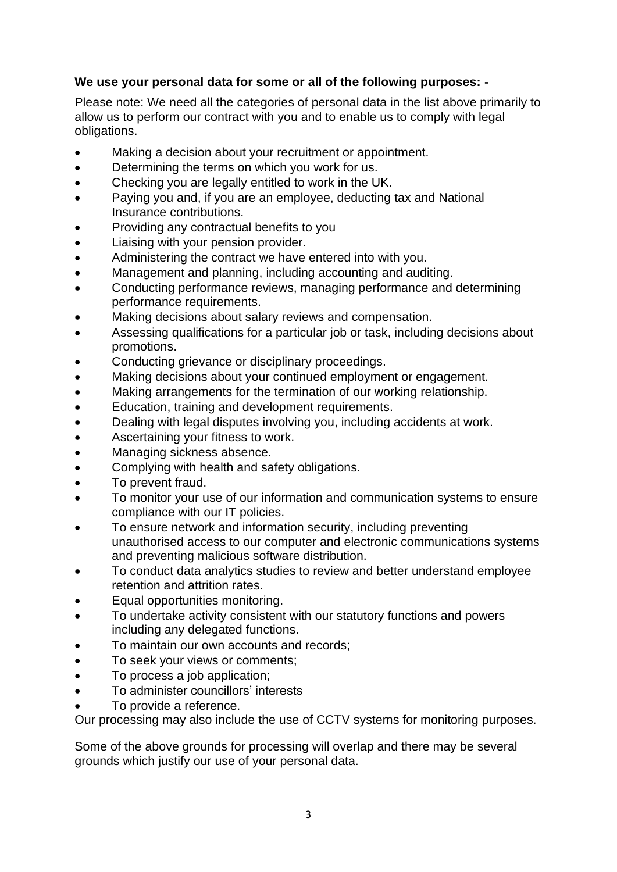## **We use your personal data for some or all of the following purposes: -**

Please note: We need all the categories of personal data in the list above primarily to allow us to perform our contract with you and to enable us to comply with legal obligations.

- Making a decision about your recruitment or appointment.
- Determining the terms on which you work for us.
- Checking you are legally entitled to work in the UK.
- Paying you and, if you are an employee, deducting tax and National Insurance contributions.
- Providing any contractual benefits to you
- Liaising with your pension provider.
- Administering the contract we have entered into with you.
- Management and planning, including accounting and auditing.
- Conducting performance reviews, managing performance and determining performance requirements.
- Making decisions about salary reviews and compensation.
- Assessing qualifications for a particular job or task, including decisions about promotions.
- Conducting grievance or disciplinary proceedings.
- Making decisions about your continued employment or engagement.
- Making arrangements for the termination of our working relationship.
- Education, training and development requirements.
- Dealing with legal disputes involving you, including accidents at work.
- Ascertaining your fitness to work.
- Managing sickness absence.
- Complying with health and safety obligations.
- To prevent fraud.
- To monitor your use of our information and communication systems to ensure compliance with our IT policies.
- To ensure network and information security, including preventing unauthorised access to our computer and electronic communications systems and preventing malicious software distribution.
- To conduct data analytics studies to review and better understand employee retention and attrition rates.
- Equal opportunities monitoring.
- To undertake activity consistent with our statutory functions and powers including any delegated functions.
- To maintain our own accounts and records;
- To seek your views or comments;
- To process a job application;
- To administer councillors' interests
- To provide a reference.

Our processing may also include the use of CCTV systems for monitoring purposes.

Some of the above grounds for processing will overlap and there may be several grounds which justify our use of your personal data.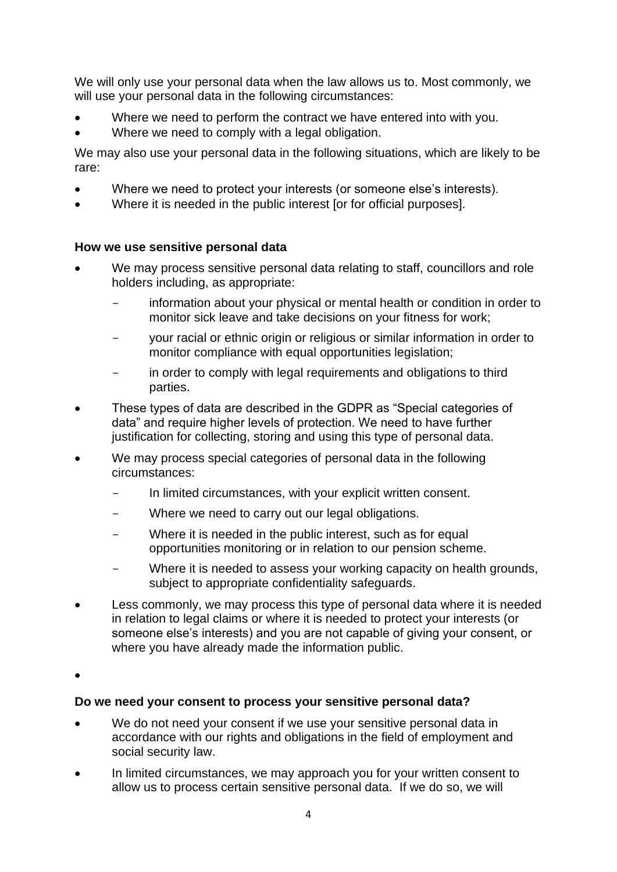We will only use your personal data when the law allows us to. Most commonly, we will use your personal data in the following circumstances:

- Where we need to perform the contract we have entered into with you.
- Where we need to comply with a legal obligation.

We may also use your personal data in the following situations, which are likely to be rare:

- Where we need to protect your interests (or someone else's interests).
- Where it is needed in the public interest [or for official purposes].

### **How we use sensitive personal data**

- We may process sensitive personal data relating to staff, councillors and role holders including, as appropriate:
	- information about your physical or mental health or condition in order to monitor sick leave and take decisions on your fitness for work;
	- your racial or ethnic origin or religious or similar information in order to monitor compliance with equal opportunities legislation;
	- in order to comply with legal requirements and obligations to third parties.
- These types of data are described in the GDPR as "Special categories of data" and require higher levels of protection. We need to have further justification for collecting, storing and using this type of personal data.
- We may process special categories of personal data in the following circumstances:
	- In limited circumstances, with your explicit written consent.
	- Where we need to carry out our legal obligations.
	- Where it is needed in the public interest, such as for equal opportunities monitoring or in relation to our pension scheme.
	- Where it is needed to assess your working capacity on health grounds, subject to appropriate confidentiality safeguards.
- Less commonly, we may process this type of personal data where it is needed in relation to legal claims or where it is needed to protect your interests (or someone else's interests) and you are not capable of giving your consent, or where you have already made the information public.

•

### **Do we need your consent to process your sensitive personal data?**

- We do not need your consent if we use your sensitive personal data in accordance with our rights and obligations in the field of employment and social security law.
- In limited circumstances, we may approach you for your written consent to allow us to process certain sensitive personal data. If we do so, we will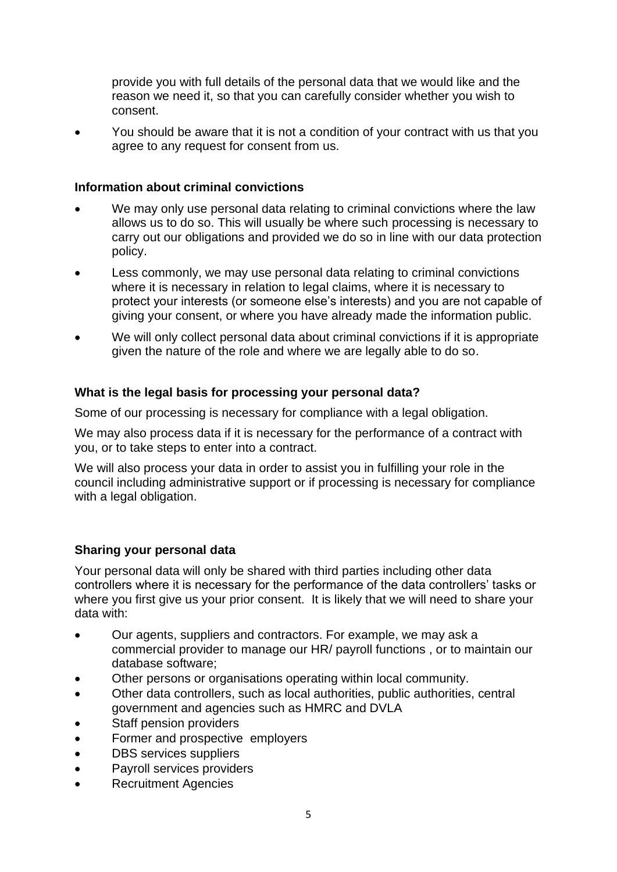provide you with full details of the personal data that we would like and the reason we need it, so that you can carefully consider whether you wish to consent.

• You should be aware that it is not a condition of your contract with us that you agree to any request for consent from us.

### **Information about criminal convictions**

- We may only use personal data relating to criminal convictions where the law allows us to do so. This will usually be where such processing is necessary to carry out our obligations and provided we do so in line with our data protection policy.
- Less commonly, we may use personal data relating to criminal convictions where it is necessary in relation to legal claims, where it is necessary to protect your interests (or someone else's interests) and you are not capable of giving your consent, or where you have already made the information public.
- We will only collect personal data about criminal convictions if it is appropriate given the nature of the role and where we are legally able to do so.

### **What is the legal basis for processing your personal data?**

Some of our processing is necessary for compliance with a legal obligation.

We may also process data if it is necessary for the performance of a contract with you, or to take steps to enter into a contract.

We will also process your data in order to assist you in fulfilling your role in the council including administrative support or if processing is necessary for compliance with a legal obligation.

### **Sharing your personal data**

Your personal data will only be shared with third parties including other data controllers where it is necessary for the performance of the data controllers' tasks or where you first give us your prior consent. It is likely that we will need to share your data with:

- Our agents, suppliers and contractors. For example, we may ask a commercial provider to manage our HR/ payroll functions , or to maintain our database software;
- Other persons or organisations operating within local community.
- Other data controllers, such as local authorities, public authorities, central government and agencies such as HMRC and DVLA
- Staff pension providers
- Former and prospective employers
- DBS services suppliers
- Payroll services providers
- Recruitment Agencies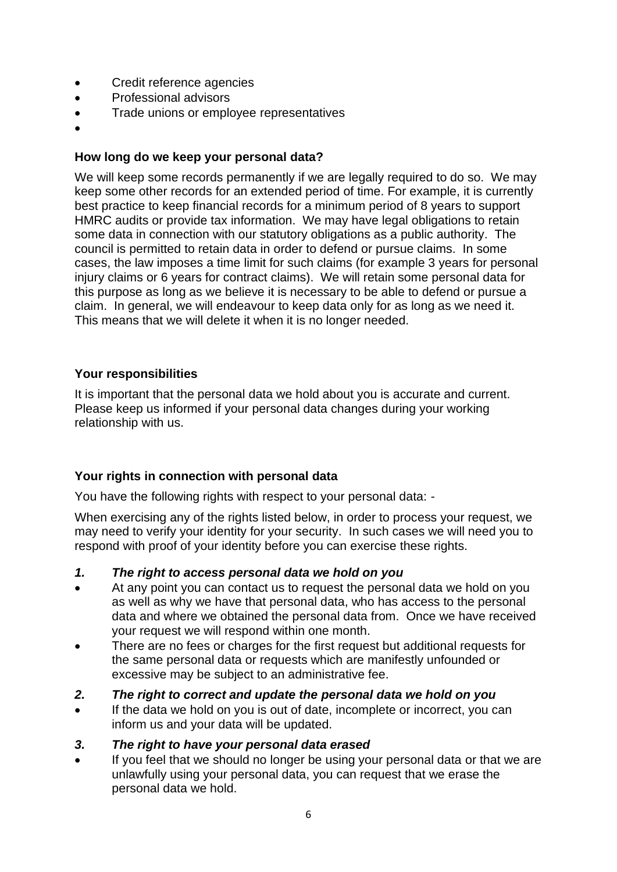- Credit reference agencies
- Professional advisors
- Trade unions or employee representatives
- •

### **How long do we keep your personal data?**

We will keep some records permanently if we are legally required to do so. We may keep some other records for an extended period of time. For example, it is currently best practice to keep financial records for a minimum period of 8 years to support HMRC audits or provide tax information. We may have legal obligations to retain some data in connection with our statutory obligations as a public authority. The council is permitted to retain data in order to defend or pursue claims. In some cases, the law imposes a time limit for such claims (for example 3 years for personal injury claims or 6 years for contract claims). We will retain some personal data for this purpose as long as we believe it is necessary to be able to defend or pursue a claim. In general, we will endeavour to keep data only for as long as we need it. This means that we will delete it when it is no longer needed.

#### **Your responsibilities**

It is important that the personal data we hold about you is accurate and current. Please keep us informed if your personal data changes during your working relationship with us.

### **Your rights in connection with personal data**

You have the following rights with respect to your personal data: -

When exercising any of the rights listed below, in order to process your request, we may need to verify your identity for your security. In such cases we will need you to respond with proof of your identity before you can exercise these rights.

- *1. The right to access personal data we hold on you*
- At any point you can contact us to request the personal data we hold on you as well as why we have that personal data, who has access to the personal data and where we obtained the personal data from. Once we have received your request we will respond within one month.
- There are no fees or charges for the first request but additional requests for the same personal data or requests which are manifestly unfounded or excessive may be subject to an administrative fee.
- *2. The right to correct and update the personal data we hold on you*
- If the data we hold on you is out of date, incomplete or incorrect, you can inform us and your data will be updated.
- *3. The right to have your personal data erased*
- If you feel that we should no longer be using your personal data or that we are unlawfully using your personal data, you can request that we erase the personal data we hold.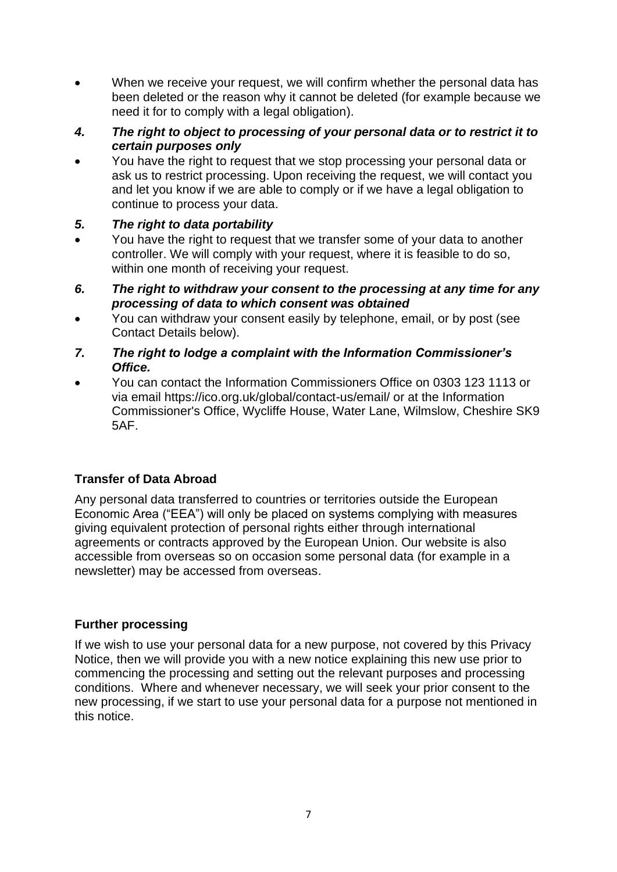- When we receive your request, we will confirm whether the personal data has been deleted or the reason why it cannot be deleted (for example because we need it for to comply with a legal obligation).
- *4. The right to object to processing of your personal data or to restrict it to certain purposes only*
- You have the right to request that we stop processing your personal data or ask us to restrict processing. Upon receiving the request, we will contact you and let you know if we are able to comply or if we have a legal obligation to continue to process your data.
- *5. The right to data portability*
- You have the right to request that we transfer some of your data to another controller. We will comply with your request, where it is feasible to do so, within one month of receiving your request.
- *6. The right to withdraw your consent to the processing at any time for any processing of data to which consent was obtained*
- You can withdraw your consent easily by telephone, email, or by post (see Contact Details below).
- *7. The right to lodge a complaint with the Information Commissioner's Office.*
- You can contact the Information Commissioners Office on 0303 123 1113 or via email https://ico.org.uk/global/contact-us/email/ or at the Information Commissioner's Office, Wycliffe House, Water Lane, Wilmslow, Cheshire SK9 5AF.

## **Transfer of Data Abroad**

Any personal data transferred to countries or territories outside the European Economic Area ("EEA") will only be placed on systems complying with measures giving equivalent protection of personal rights either through international agreements or contracts approved by the European Union. Our website is also accessible from overseas so on occasion some personal data (for example in a newsletter) may be accessed from overseas.

## **Further processing**

If we wish to use your personal data for a new purpose, not covered by this Privacy Notice, then we will provide you with a new notice explaining this new use prior to commencing the processing and setting out the relevant purposes and processing conditions. Where and whenever necessary, we will seek your prior consent to the new processing, if we start to use your personal data for a purpose not mentioned in this notice.